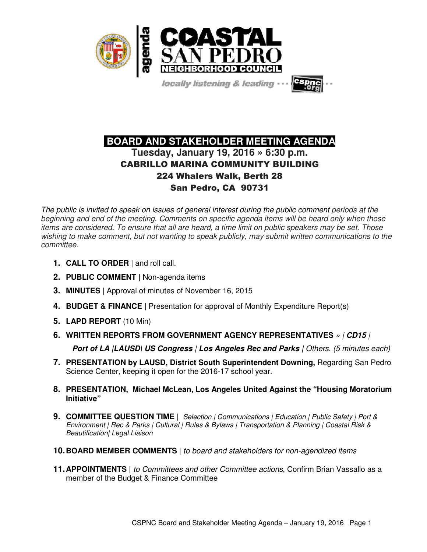

locally listening & leading

# **BOARD AND STAKEHOLDER MEETING AGENDA Tuesday, January 19, 2016 » 6:30 p.m.**  CABRILLO MARINA COMMUNITY BUILDING 224 Whalers Walk, Berth 28 San Pedro, CA 90731

The public is invited to speak on issues of general interest during the public comment periods at the beginning and end of the meeting. Comments on specific agenda items will be heard only when those items are considered. To ensure that all are heard, a time limit on public speakers may be set. Those wishing to make comment, but not wanting to speak publicly, may submit written communications to the committee.

- **1. CALL TO ORDER** | and roll call.
- **2. PUBLIC COMMENT |** Non-agenda items
- **3. MINUTES** | Approval of minutes of November 16, 2015
- **4. BUDGET & FINANCE |** Presentation for approval of Monthly Expenditure Report(s)
- **5. LAPD REPORT** (10 Min)
- **6. WRITTEN REPORTS FROM GOVERNMENT AGENCY REPRESENTATIVES** » | **CD15** | **Port of LA |LAUSD\ US Congress | Los Angeles Rec and Parks | Others. (5 minutes each)**
- **7. PRESENTATION by LAUSD, District South Superintendent Downing,** Regarding San Pedro Science Center, keeping it open for the 2016-17 school year.
- **8. PRESENTATION, Michael McLean, Los Angeles United Against the "Housing Moratorium Initiative"**
- **9. COMMITTEE QUESTION TIME |** Selection | Communications | Education | Public Safety | Port & Environment | Rec & Parks | Cultural | Rules & Bylaws | Transportation & Planning | Coastal Risk & Beautification| Legal Liaison
- **10. BOARD MEMBER COMMENTS** | to board and stakeholders for non-agendized items
- **11. APPOINTMENTS |** to Committees and other Committee actions, Confirm Brian Vassallo as a member of the Budget & Finance Committee